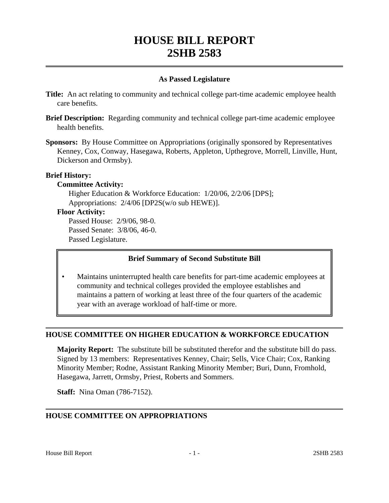# **HOUSE BILL REPORT 2SHB 2583**

#### **As Passed Legislature**

- **Title:** An act relating to community and technical college part-time academic employee health care benefits.
- **Brief Description:** Regarding community and technical college part-time academic employee health benefits.
- **Sponsors:** By House Committee on Appropriations (originally sponsored by Representatives Kenney, Cox, Conway, Hasegawa, Roberts, Appleton, Upthegrove, Morrell, Linville, Hunt, Dickerson and Ormsby).

#### **Brief History:**

## **Committee Activity:**

Higher Education & Workforce Education: 1/20/06, 2/2/06 [DPS]; Appropriations: 2/4/06 [DP2S(w/o sub HEWE)].

## **Floor Activity:**

Passed House: 2/9/06, 98-0. Passed Senate: 3/8/06, 46-0. Passed Legislature.

# **Brief Summary of Second Substitute Bill**

• Maintains uninterrupted health care benefits for part-time academic employees at community and technical colleges provided the employee establishes and maintains a pattern of working at least three of the four quarters of the academic year with an average workload of half-time or more.

# **HOUSE COMMITTEE ON HIGHER EDUCATION & WORKFORCE EDUCATION**

**Majority Report:** The substitute bill be substituted therefor and the substitute bill do pass. Signed by 13 members: Representatives Kenney, Chair; Sells, Vice Chair; Cox, Ranking Minority Member; Rodne, Assistant Ranking Minority Member; Buri, Dunn, Fromhold, Hasegawa, Jarrett, Ormsby, Priest, Roberts and Sommers.

**Staff:** Nina Oman (786-7152).

# **HOUSE COMMITTEE ON APPROPRIATIONS**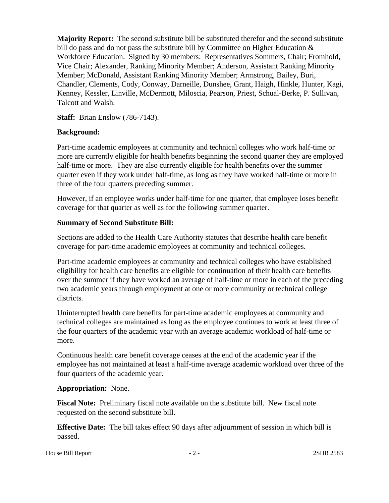**Majority Report:** The second substitute bill be substituted therefor and the second substitute bill do pass and do not pass the substitute bill by Committee on Higher Education & Workforce Education. Signed by 30 members: Representatives Sommers, Chair; Fromhold, Vice Chair; Alexander, Ranking Minority Member; Anderson, Assistant Ranking Minority Member; McDonald, Assistant Ranking Minority Member; Armstrong, Bailey, Buri, Chandler, Clements, Cody, Conway, Darneille, Dunshee, Grant, Haigh, Hinkle, Hunter, Kagi, Kenney, Kessler, Linville, McDermott, Miloscia, Pearson, Priest, Schual-Berke, P. Sullivan, Talcott and Walsh.

**Staff:** Brian Enslow (786-7143).

#### **Background:**

Part-time academic employees at community and technical colleges who work half-time or more are currently eligible for health benefits beginning the second quarter they are employed half-time or more. They are also currently eligible for health benefits over the summer quarter even if they work under half-time, as long as they have worked half-time or more in three of the four quarters preceding summer.

However, if an employee works under half-time for one quarter, that employee loses benefit coverage for that quarter as well as for the following summer quarter.

#### **Summary of Second Substitute Bill:**

Sections are added to the Health Care Authority statutes that describe health care benefit coverage for part-time academic employees at community and technical colleges.

Part-time academic employees at community and technical colleges who have established eligibility for health care benefits are eligible for continuation of their health care benefits over the summer if they have worked an average of half-time or more in each of the preceding two academic years through employment at one or more community or technical college districts.

Uninterrupted health care benefits for part-time academic employees at community and technical colleges are maintained as long as the employee continues to work at least three of the four quarters of the academic year with an average academic workload of half-time or more.

Continuous health care benefit coverage ceases at the end of the academic year if the employee has not maintained at least a half-time average academic workload over three of the four quarters of the academic year.

#### **Appropriation:** None.

**Fiscal Note:** Preliminary fiscal note available on the substitute bill. New fiscal note requested on the second substitute bill.

**Effective Date:** The bill takes effect 90 days after adjournment of session in which bill is passed.

House Bill Report **2SHB** 2583